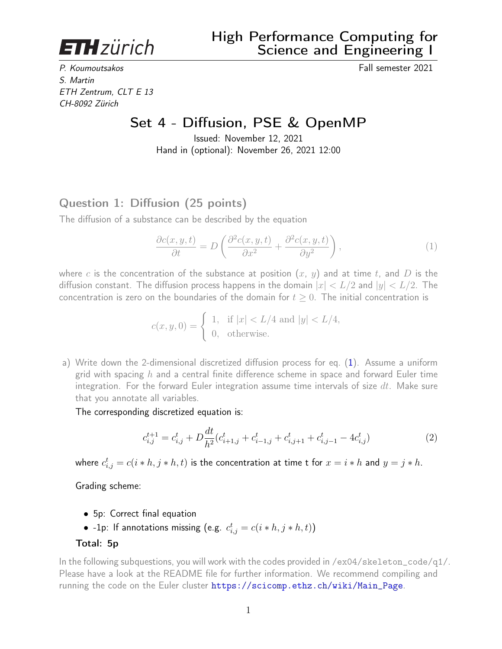<span id="page-0-1"></span>**ETH**zürich

P. Koumoutsakos Fall semester 2021 S. Martin ETH Zentrum, CLT E 13 CH-8092 Zürich

# Set 4 - Diffusion, PSE & OpenMP

Issued: November 12, 2021 Hand in (optional): November 26, 2021 12:00

## Question 1: Diffusion (25 points)

The diffusion of a substance can be described by the equation

<span id="page-0-0"></span>
$$
\frac{\partial c(x, y, t)}{\partial t} = D \left( \frac{\partial^2 c(x, y, t)}{\partial x^2} + \frac{\partial^2 c(x, y, t)}{\partial y^2} \right),\tag{1}
$$

where c is the concentration of the substance at position  $(x, y)$  and at time t, and D is the diffusion constant. The diffusion process happens in the domain  $|x| < L/2$  and  $|y| < L/2$ . The concentration is zero on the boundaries of the domain for  $t \geq 0$ . The initial concentration is

$$
c(x, y, 0) = \begin{cases} 1, & \text{if } |x| < L/4 \text{ and } |y| < L/4, \\ 0, & \text{otherwise.} \end{cases}
$$

a) Write down the 2-dimensional discretized diffusion process for eq. [\(1\)](#page-0-0). Assume a uniform grid with spacing  $h$  and a central finite difference scheme in space and forward Euler time integration. For the forward Euler integration assume time intervals of size  $dt$ . Make sure that you annotate all variables.

The corresponding discretized equation is:

$$
c_{i,j}^{t+1} = c_{i,j}^t + D\frac{dt}{h^2}(c_{i+1,j}^t + c_{i-1,j}^t + c_{i,j+1}^t + c_{i,j-1}^t - 4c_{i,j}^t)
$$
\n
$$
\tag{2}
$$

where  $c_{i,j}^t = c(i * h, j * h, t)$  is the concentration at time t for  $x = i * h$  and  $y = j * h$ .

Grading scheme:

- 5p: Correct final equation
- -1p: If annotations missing (e.g.  $c_{i,j}^t = c(i * h, j * h, t)$ )

#### Total: 5p

In the following subquestions, you will work with the codes provided in /ex04/skeleton\_code/q1/. Please have a look at the README file for further information. We recommend compiling and running the code on the Euler cluster [https://scicomp.ethz.ch/wiki/Main\\_Page](https://scicomp.ethz.ch/wiki/Main_Page).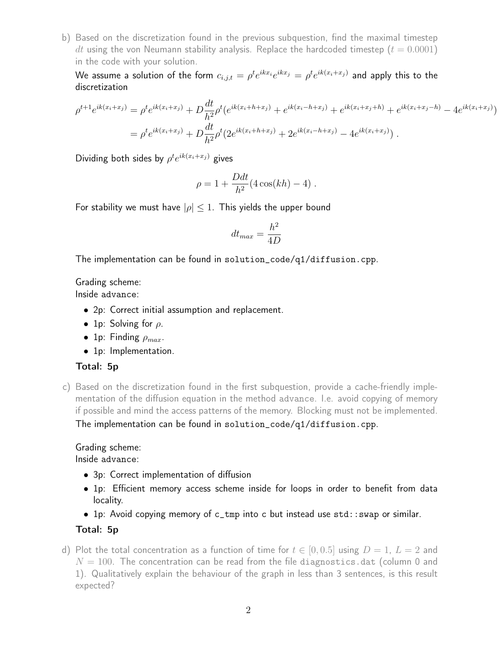b) Based on the discretization found in the previous subquestion, find the maximal timestep dt using the von Neumann stability analysis. Replace the hardcoded timestep ( $t = 0.0001$ ) in the code with your solution.

We assume a solution of the form  $c_{i,j,t}=\rho^t e^{ikx_i}e^{ikx_j}=\rho^t e^{ik(x_i+x_j)}$  and apply this to the discretization

$$
\rho^{t+1}e^{ik(x_i+x_j)} = \rho^t e^{ik(x_i+x_j)} + D\frac{dt}{h^2}\rho^t(e^{ik(x_i+h+x_j)} + e^{ik(x_i-h+x_j)} + e^{ik(x_i+x_j+h)} + e^{ik(x_i+x_j-h)} - 4e^{ik(x_i+x_j)} )
$$
  
= 
$$
\rho^t e^{ik(x_i+x_j)} + D\frac{dt}{h^2}\rho^t(2e^{ik(x_i+h+x_j)} + 2e^{ik(x_i-h+x_j)} - 4e^{ik(x_i+x_j)} ).
$$

Dividing both sides by  $\rho^t e^{ik(x_i+x_j)}$  gives

$$
\rho = 1 + \frac{Ddt}{h^2} (4\cos(kh) - 4) .
$$

For stability we must have  $|\rho|$  < 1. This yields the upper bound

$$
dt_{max} = \frac{h^2}{4D}
$$

The implementation can be found in solution\_code/q1/diffusion.cpp.

Grading scheme:

Inside advance:

- 2p: Correct initial assumption and replacement.
- 1p: Solving for  $\rho$ .
- 1p: Finding  $\rho_{max}$ .
- 1p: Implementation.

#### Total: 5p

c) Based on the discretization found in the first subquestion, provide a cache-friendly implementation of the diffusion equation in the method advance. I.e. avoid copying of memory if possible and mind the access patterns of the memory. Blocking must not be implemented.

The implementation can be found in solution\_code/q1/diffusion.cpp.

#### Grading scheme:

Inside advance:

- 3p: Correct implementation of diffusion
- 1p: Efficient memory access scheme inside for loops in order to benefit from data locality.
- 1p: Avoid copying memory of c\_tmp into c but instead use std::swap or similar.

#### Total: 5p

d) Plot the total concentration as a function of time for  $t \in [0, 0.5]$  using  $D = 1$ ,  $L = 2$  and  $N = 100$ . The concentration can be read from the file diagnostics.dat (column 0 and 1). Qualitatively explain the behaviour of the graph in less than 3 sentences, is this result expected?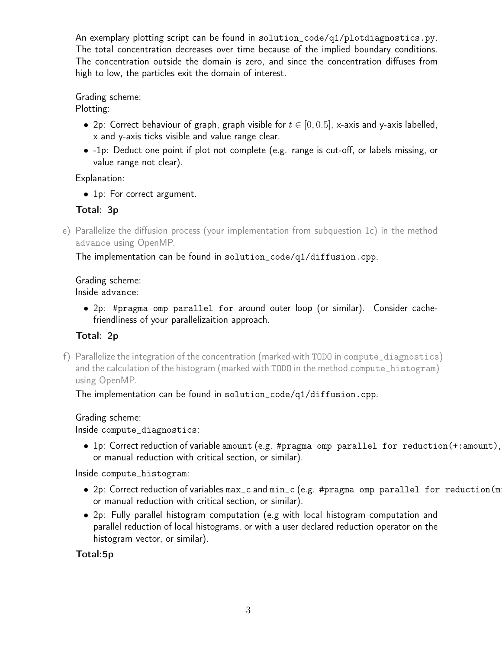An exemplary plotting script can be found in solution\_code/q1/plotdiagnostics.py. The total concentration decreases over time because of the implied boundary conditions. The concentration outside the domain is zero, and since the concentration diffuses from high to low, the particles exit the domain of interest.

Grading scheme:

Plotting:

- 2p: Correct behaviour of graph, graph visible for  $t \in [0, 0.5]$ , x-axis and y-axis labelled, x and y-axis ticks visible and value range clear.
- -1p: Deduct one point if plot not complete (e.g. range is cut-off, or labels missing, or value range not clear).

Explanation:

• 1p: For correct argument.

### Total: 3p

e) Parallelize the diffusion process (your implementation from subquestion 1c) in the method advance using OpenMP.

The implementation can be found in solution\_code/q1/diffusion.cpp.

Grading scheme:

Inside advance:

• 2p: #pragma omp parallel for around outer loop (or similar). Consider cachefriendliness of your parallelizaition approach.

# Total: 2p

f) Parallelize the integration of the concentration (marked with TODO in compute\_diagnostics) and the calculation of the histogram (marked with TODO in the method compute\_histogram) using OpenMP.

The implementation can be found in solution\_code/q1/diffusion.cpp.

### Grading scheme:

Inside compute\_diagnostics:

• 1p: Correct reduction of variable amount (e.g. #pragma omp parallel for reduction(+:amount), or manual reduction with critical section, or similar).

Inside compute\_histogram:

- 2p: Correct reduction of variables max\_c and min\_c (e.g. #pragma omp parallel for reduction(m or manual reduction with critical section, or similar).
- 2p: Fully parallel histogram computation (e.g with local histogram computation and parallel reduction of local histograms, or with a user declared reduction operator on the histogram vector, or similar).

### Total:5p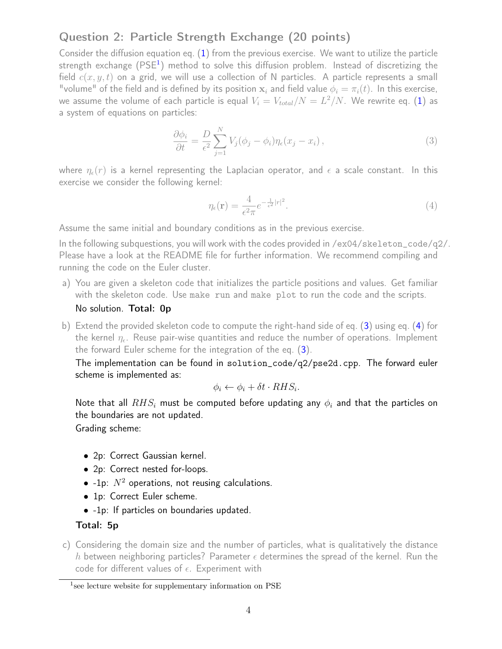## Question 2: Particle Strength Exchange (20 points)

Consider the diffusion equation eq.  $(1)$  from the previous exercise. We want to utilize the particle strength exchange (PSE<sup>[1](#page-0-1)</sup>) method to solve this diffusion problem. Instead of discretizing the field  $c(x, y, t)$  on a grid, we will use a collection of N particles. A particle represents a small "volume" of the field and is defined by its position  $x_i$  and field value  $\phi_i = \pi_i(t)$ . In this exercise, we assume the volume of each particle is equal  $V_i=V_{total}/N=L^2/N$ . We rewrite eq.  $\bf(1)$  $\bf(1)$  as a system of equations on particles:

<span id="page-3-0"></span>
$$
\frac{\partial \phi_i}{\partial t} = \frac{D}{\epsilon^2} \sum_{j=1}^N V_j (\phi_j - \phi_i) \eta_{\epsilon}(x_j - x_i) , \qquad (3)
$$

where  $\eta_e(r)$  is a kernel representing the Laplacian operator, and  $\epsilon$  a scale constant. In this exercise we consider the following kernel:

<span id="page-3-1"></span>
$$
\eta_{\epsilon}(\mathbf{r}) = \frac{4}{\epsilon^2 \pi} e^{-\frac{1}{\epsilon^2}|r|^2}.
$$
\n(4)

Assume the same initial and boundary conditions as in the previous exercise.

In the following subquestions, you will work with the codes provided in /ex04/skeleton\_code/q2/. Please have a look at the README file for further information. We recommend compiling and running the code on the Euler cluster.

- a) You are given a skeleton code that initializes the particle positions and values. Get familiar with the skeleton code. Use make run and make plot to run the code and the scripts. No solution. Total: 0p
- b) Extend the provided skeleton code to compute the right-hand side of eq. [\(3\)](#page-3-0) using eq. [\(4\)](#page-3-1) for the kernel  $\eta_\epsilon$ . Reuse pair-wise quantities and reduce the number of operations. Implement the forward Euler scheme for the integration of the eq. [\(3\)](#page-3-0).

The implementation can be found in solution\_code/q2/pse2d.cpp. The forward euler scheme is implemented as:

$$
\phi_i \leftarrow \phi_i + \delta t \cdot RHS_i.
$$

Note that all  $RHS_i$  must be computed before updating any  $\phi_i$  and that the particles on the boundaries are not updated.

Grading scheme:

- 2p: Correct Gaussian kernel.
- 2p: Correct nested for-loops.
- -1p:  $N^2$  operations, not reusing calculations.
- 1p: Correct Euler scheme.
- -1p: If particles on boundaries updated.

#### Total: 5p

c) Considering the domain size and the number of particles, what is qualitatively the distance h between neighboring particles? Parameter  $\epsilon$  determines the spread of the kernel. Run the code for different values of  $\epsilon$ . Experiment with

<sup>&</sup>lt;sup>1</sup>see lecture website for supplementary information on PSE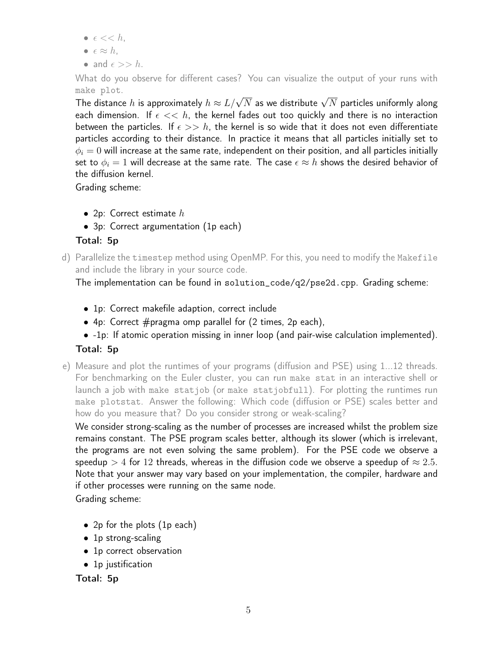- $\bullet \epsilon \ll h$ ,
- $\epsilon \approx h$ .
- and  $\epsilon >> h$ .

What do you observe for different cases? You can visualize the output of your runs with make plot.

make prot.<br>The distance  $h$  is approximately  $h \approx L/\sqrt{N}$  as we distribute  $\sqrt{N}$  particles uniformly along each dimension. If  $\epsilon \ll k$ , the kernel fades out too quickly and there is no interaction between the particles. If  $\epsilon >> h$ , the kernel is so wide that it does not even differentiate particles according to their distance. In practice it means that all particles initially set to  $\phi_i = 0$  will increase at the same rate, independent on their position, and all particles initially set to  $\phi_i = 1$  will decrease at the same rate. The case  $\epsilon \approx h$  shows the desired behavior of the diffusion kernel.

Grading scheme:

- 2p: Correct estimate  $h$
- 3p: Correct argumentation (1p each)

#### Total: 5p

d) Parallelize the timestep method using OpenMP. For this, you need to modify the Makefile and include the library in your source code.

The implementation can be found in solution\_code/q2/pse2d.cpp. Grading scheme:

- 1p: Correct makefile adaption, correct include
- 4p: Correct  $#$ pragma omp parallel for  $(2 \text{ times}, 2p \text{ each}),$
- -1p: If atomic operation missing in inner loop (and pair-wise calculation implemented).

### Total: 5p

e) Measure and plot the runtimes of your programs (diffusion and PSE) using 1...12 threads. For benchmarking on the Euler cluster, you can run make stat in an interactive shell or launch a job with make statjob (or make statjobfull). For plotting the runtimes run make plotstat. Answer the following: Which code (diffusion or PSE) scales better and how do you measure that? Do you consider strong or weak-scaling?

We consider strong-scaling as the number of processes are increased whilst the problem size remains constant. The PSE program scales better, although its slower (which is irrelevant, the programs are not even solving the same problem). For the PSE code we observe a speedup > 4 for 12 threads, whereas in the diffusion code we observe a speedup of  $\approx 2.5$ . Note that your answer may vary based on your implementation, the compiler, hardware and if other processes were running on the same node.

Grading scheme:

- 2p for the plots (1p each)
- 1p strong-scaling
- 1p correct observation
- 1p justification

Total: 5p